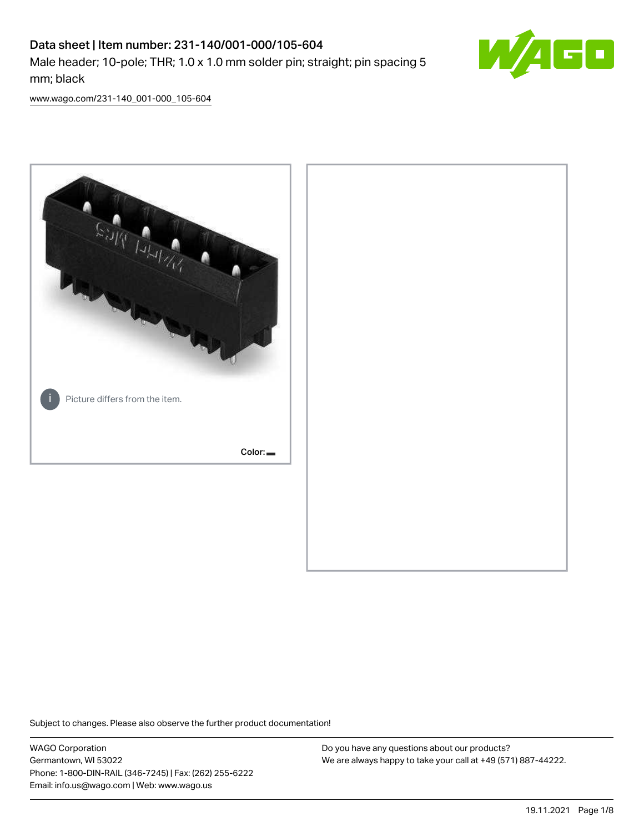# Data sheet | Item number: 231-140/001-000/105-604 Male header; 10-pole; THR; 1.0 x 1.0 mm solder pin; straight; pin spacing 5 mm; black



[www.wago.com/231-140\\_001-000\\_105-604](http://www.wago.com/231-140_001-000_105-604)



Subject to changes. Please also observe the further product documentation!

WAGO Corporation Germantown, WI 53022 Phone: 1-800-DIN-RAIL (346-7245) | Fax: (262) 255-6222 Email: info.us@wago.com | Web: www.wago.us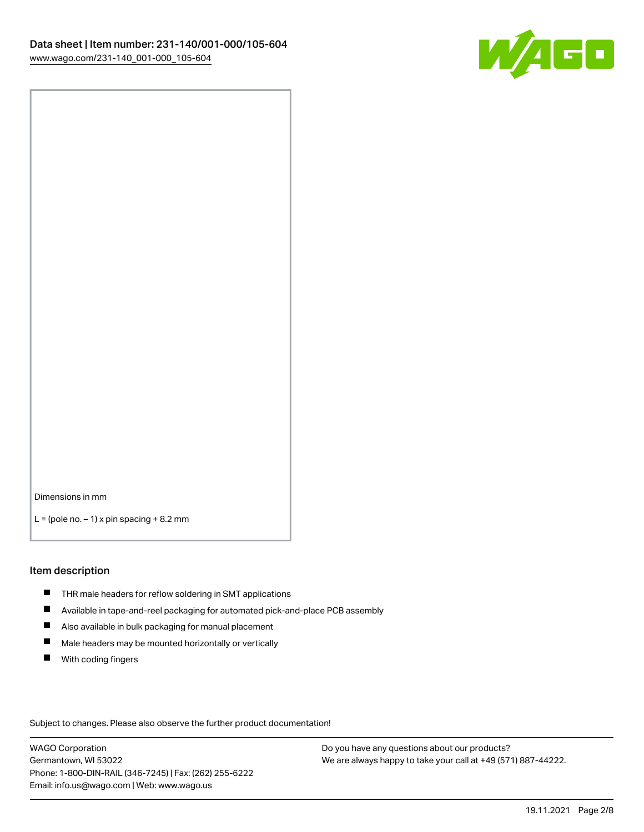

Dimensions in mm

 $L =$  (pole no.  $-1$ ) x pin spacing  $+8.2$  mm

#### Item description

- **THR** male headers for reflow soldering in SMT applications
- $\blacksquare$ Available in tape-and-reel packaging for automated pick-and-place PCB assembly
- $\blacksquare$ Also available in bulk packaging for manual placement
- $\blacksquare$ Male headers may be mounted horizontally or vertically
- **With coding fingers**

Subject to changes. Please also observe the further product documentation!

WAGO Corporation Germantown, WI 53022 Phone: 1-800-DIN-RAIL (346-7245) | Fax: (262) 255-6222 Email: info.us@wago.com | Web: www.wago.us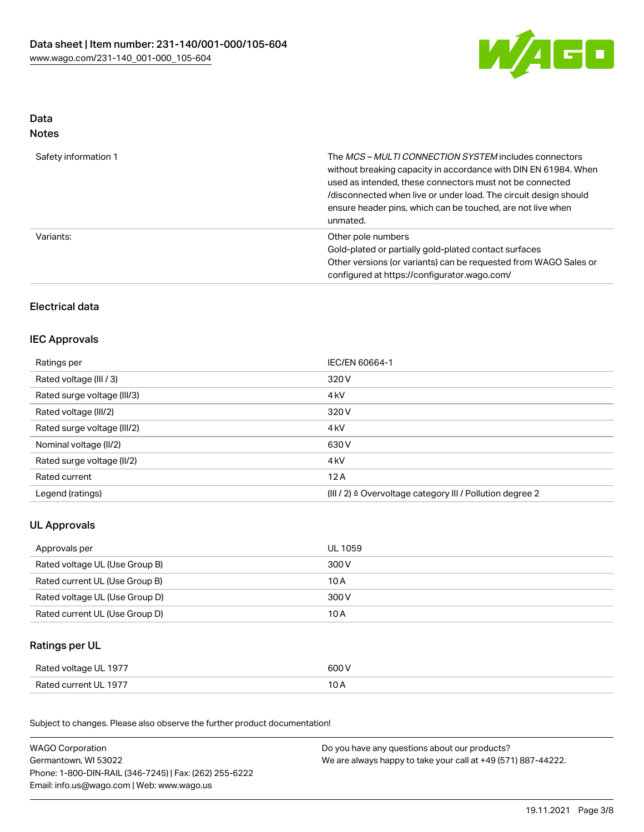

## Data Notes

| Safety information 1 | The MCS-MULTI CONNECTION SYSTEM includes connectors<br>without breaking capacity in accordance with DIN EN 61984. When<br>used as intended, these connectors must not be connected<br>/disconnected when live or under load. The circuit design should<br>ensure header pins, which can be touched, are not live when<br>unmated. |
|----------------------|-----------------------------------------------------------------------------------------------------------------------------------------------------------------------------------------------------------------------------------------------------------------------------------------------------------------------------------|
| Variants:            | Other pole numbers<br>Gold-plated or partially gold-plated contact surfaces<br>Other versions (or variants) can be requested from WAGO Sales or<br>configured at https://configurator.wago.com/                                                                                                                                   |

# Electrical data

### IEC Approvals

| Ratings per                 | IEC/EN 60664-1                                                       |
|-----------------------------|----------------------------------------------------------------------|
| Rated voltage (III / 3)     | 320 V                                                                |
| Rated surge voltage (III/3) | 4 <sub>kV</sub>                                                      |
| Rated voltage (III/2)       | 320 V                                                                |
| Rated surge voltage (III/2) | 4 <sub>kV</sub>                                                      |
| Nominal voltage (II/2)      | 630 V                                                                |
| Rated surge voltage (II/2)  | 4 <sub>kV</sub>                                                      |
| Rated current               | 12A                                                                  |
| Legend (ratings)            | (III / 2) $\triangleq$ Overvoltage category III / Pollution degree 2 |

# UL Approvals

| Approvals per                  | UL 1059 |
|--------------------------------|---------|
| Rated voltage UL (Use Group B) | 300 V   |
| Rated current UL (Use Group B) | 10 A    |
| Rated voltage UL (Use Group D) | 300 V   |
| Rated current UL (Use Group D) | 10 A    |

## Ratings per UL

| Rated voltage UL 1977 | 600 V |
|-----------------------|-------|
| Rated current UL 1977 | I U H |

| <b>WAGO Corporation</b>                                | Do you have any questions about our products?                 |
|--------------------------------------------------------|---------------------------------------------------------------|
| Germantown, WI 53022                                   | We are always happy to take your call at +49 (571) 887-44222. |
| Phone: 1-800-DIN-RAIL (346-7245)   Fax: (262) 255-6222 |                                                               |
| Email: info.us@wago.com   Web: www.wago.us             |                                                               |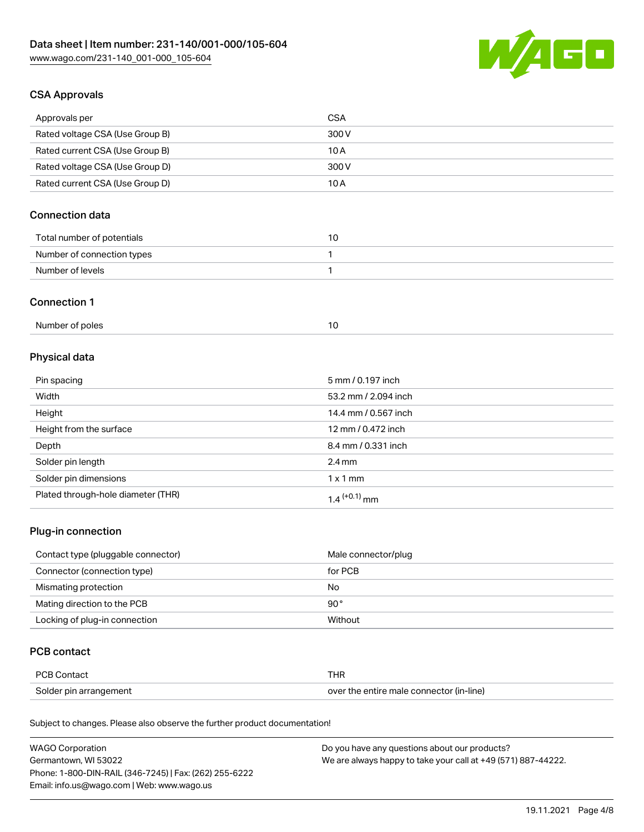

# CSA Approvals

| Approvals per                   | CSA   |
|---------------------------------|-------|
| Rated voltage CSA (Use Group B) | 300 V |
| Rated current CSA (Use Group B) | 10 A  |
| Rated voltage CSA (Use Group D) | 300 V |
| Rated current CSA (Use Group D) | 10 A  |

# Connection data

| Total number of potentials |  |
|----------------------------|--|
| Number of connection types |  |
| Number of levels           |  |

#### Connection 1

| Number of poles |  |
|-----------------|--|
|                 |  |

# Physical data

| Pin spacing                        | 5 mm / 0.197 inch    |
|------------------------------------|----------------------|
| Width                              | 53.2 mm / 2.094 inch |
| Height                             | 14.4 mm / 0.567 inch |
| Height from the surface            | 12 mm / 0.472 inch   |
| Depth                              | 8.4 mm / 0.331 inch  |
| Solder pin length                  | $2.4 \text{ mm}$     |
| Solder pin dimensions              | $1 \times 1$ mm      |
| Plated through-hole diameter (THR) | $1.4$ $(+0.1)$ mm    |

### Plug-in connection

| Contact type (pluggable connector) | Male connector/plug |
|------------------------------------|---------------------|
| Connector (connection type)        | for PCB             |
| Mismating protection               | No                  |
| Mating direction to the PCB        | $90^{\circ}$        |
| Locking of plug-in connection      | Without             |

# PCB contact

| <b>PCB Contact</b>     | THR                                      |
|------------------------|------------------------------------------|
| Solder pin arrangement | over the entire male connector (in-line) |

| <b>WAGO Corporation</b>                                | Do you have any questions about our products?                 |
|--------------------------------------------------------|---------------------------------------------------------------|
| Germantown, WI 53022                                   | We are always happy to take your call at +49 (571) 887-44222. |
| Phone: 1-800-DIN-RAIL (346-7245)   Fax: (262) 255-6222 |                                                               |
| Email: info.us@wago.com   Web: www.wago.us             |                                                               |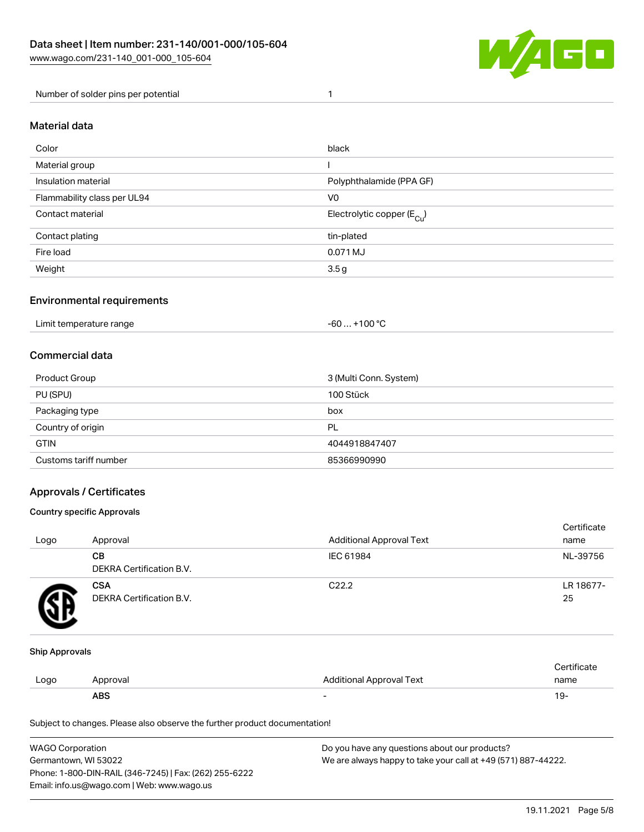

Number of solder pins per potential 1

#### Material data

| Color                       | black                                  |
|-----------------------------|----------------------------------------|
| Material group              |                                        |
| Insulation material         | Polyphthalamide (PPA GF)               |
| Flammability class per UL94 | V <sub>0</sub>                         |
| Contact material            | Electrolytic copper (E <sub>Cu</sub> ) |
| Contact plating             | tin-plated                             |
| Fire load                   | 0.071 MJ                               |
| Weight                      | 3.5g                                   |

### Environmental requirements

Limit temperature range  $-60... +100$  °C

#### Commercial data

| Product Group         | 3 (Multi Conn. System) |
|-----------------------|------------------------|
| PU (SPU)              | 100 Stück              |
| Packaging type<br>box |                        |
| Country of origin     | PL                     |
| <b>GTIN</b>           | 4044918847407          |
| Customs tariff number | 85366990990            |

### Approvals / Certificates

#### Country specific Approvals

| Logo | Approval                               | <b>Additional Approval Text</b> | Certificate<br>name |
|------|----------------------------------------|---------------------------------|---------------------|
|      | CВ<br><b>DEKRA Certification B.V.</b>  | IEC 61984                       | NL-39756            |
|      | <b>CSA</b><br>DEKRA Certification B.V. | C <sub>22.2</sub>               | LR 18677-<br>25     |

#### Ship Approvals

|      | ABS      |                                 | . Y     |
|------|----------|---------------------------------|---------|
| Logo | Approval | <b>Additional Approval Text</b> | name    |
|      |          |                                 | ficate. |

| WAGO Corporation                                       | Do you have any questions about our products?                 |
|--------------------------------------------------------|---------------------------------------------------------------|
| Germantown, WI 53022                                   | We are always happy to take your call at +49 (571) 887-44222. |
| Phone: 1-800-DIN-RAIL (346-7245)   Fax: (262) 255-6222 |                                                               |
| Email: info.us@wago.com   Web: www.wago.us             |                                                               |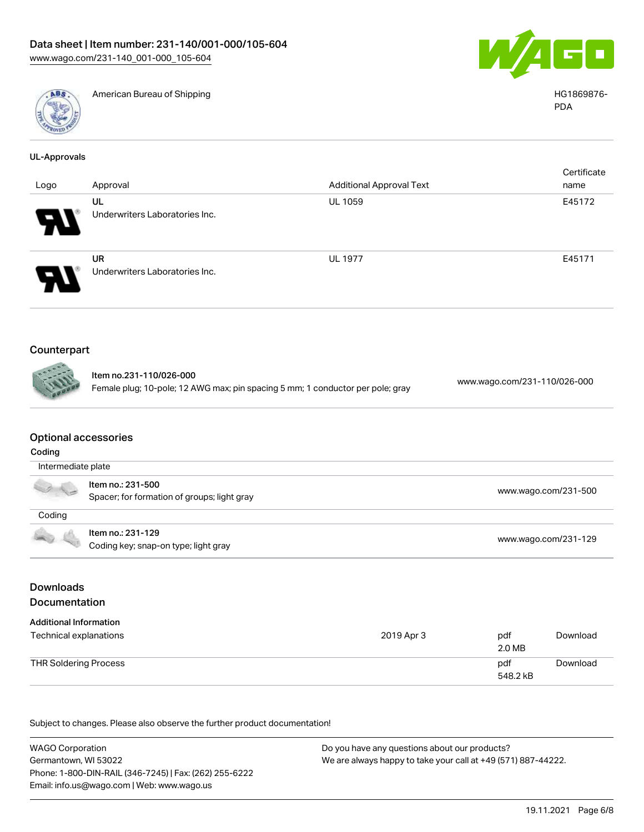

American Bureau of Shipping HG1869876-



PDA

| <b>UL-Approvals</b> |                                             |                                 |                     |
|---------------------|---------------------------------------------|---------------------------------|---------------------|
| Logo                | Approval                                    | <b>Additional Approval Text</b> | Certificate<br>name |
|                     | UL<br>Underwriters Laboratories Inc.        | <b>UL 1059</b>                  | E45172              |
|                     | <b>UR</b><br>Underwriters Laboratories Inc. | <b>UL 1977</b>                  | E45171              |
| Counterpart         |                                             |                                 |                     |

# $\mathbf C$

Item no.231-110/026-000 Female plug; 10-pole; 12 AWG max; pin spacing 5 mm; 1 conductor per pole; gray [www.wago.com/231-110/026-000](https://www.wago.com/231-110/026-000)

#### Optional accessories

| Coding             |                                                                  |                      |
|--------------------|------------------------------------------------------------------|----------------------|
| Intermediate plate |                                                                  |                      |
| $\sim$             | Item no.: 231-500<br>Spacer; for formation of groups; light gray | www.wago.com/231-500 |
| Coding             |                                                                  |                      |
| 40 6               | Item no.: 231-129<br>Coding key; snap-on type; light gray        | www.wago.com/231-129 |

## Downloads Documentation

| <b>Additional Information</b><br>Technical explanations | 2019 Apr 3 | pdf<br>2.0 MB   | Download |
|---------------------------------------------------------|------------|-----------------|----------|
| THR Soldering Process                                   |            | pdf<br>548.2 kB | Download |

| <b>WAGO Corporation</b>                                | Do you have any questions about our products?                 |
|--------------------------------------------------------|---------------------------------------------------------------|
| Germantown, WI 53022                                   | We are always happy to take your call at +49 (571) 887-44222. |
| Phone: 1-800-DIN-RAIL (346-7245)   Fax: (262) 255-6222 |                                                               |
| Email: info.us@wago.com   Web: www.wago.us             |                                                               |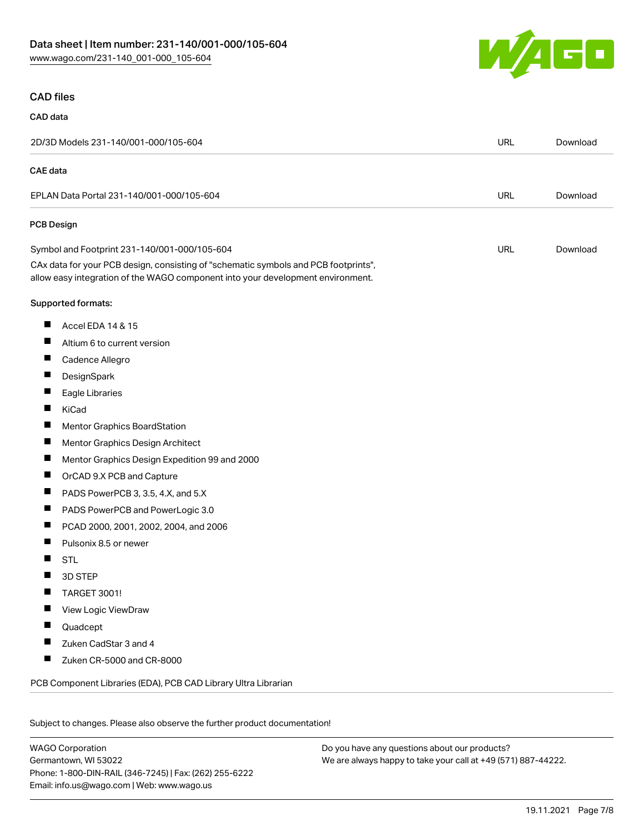

#### CAD files

# CAD data

| <b>CAE</b> data                                                                                                                                                        |            |          |
|------------------------------------------------------------------------------------------------------------------------------------------------------------------------|------------|----------|
| EPLAN Data Portal 231-140/001-000/105-604                                                                                                                              | <b>URL</b> | Download |
| PCB Design                                                                                                                                                             |            |          |
| Symbol and Footprint 231-140/001-000/105-604                                                                                                                           | <b>URL</b> | Download |
| CAx data for your PCB design, consisting of "schematic symbols and PCB footprints",<br>allow easy integration of the WAGO component into your development environment. |            |          |
| Supported formats:                                                                                                                                                     |            |          |
| ш<br>Accel EDA 14 & 15                                                                                                                                                 |            |          |
| ш<br>Altium 6 to current version                                                                                                                                       |            |          |
| $\blacksquare$<br>Cadence Allegro                                                                                                                                      |            |          |
| ш<br>DesignSpark                                                                                                                                                       |            |          |
| ш<br>Eagle Libraries                                                                                                                                                   |            |          |
| Ш<br>KiCad                                                                                                                                                             |            |          |
| ш<br><b>Mentor Graphics BoardStation</b>                                                                                                                               |            |          |
| ш<br>Mentor Graphics Design Architect                                                                                                                                  |            |          |
| ш<br>Mentor Graphics Design Expedition 99 and 2000                                                                                                                     |            |          |
| ш<br>OrCAD 9.X PCB and Capture                                                                                                                                         |            |          |
| ш<br>PADS PowerPCB 3, 3.5, 4.X, and 5.X                                                                                                                                |            |          |
| ш<br>PADS PowerPCB and PowerLogic 3.0                                                                                                                                  |            |          |
| ш<br>PCAD 2000, 2001, 2002, 2004, and 2006                                                                                                                             |            |          |
| Pulsonix 8.5 or newer<br>ш                                                                                                                                             |            |          |
| ш<br><b>STL</b>                                                                                                                                                        |            |          |
| 3D STEP                                                                                                                                                                |            |          |
| ш<br><b>TARGET 3001!</b>                                                                                                                                               |            |          |
| ш<br>View Logic ViewDraw                                                                                                                                               |            |          |
| Quadcept                                                                                                                                                               |            |          |
| Zuken CadStar 3 and 4<br>Ш                                                                                                                                             |            |          |
| ш<br>Zuken CR-5000 and CR-8000                                                                                                                                         |            |          |
| PCB Component Libraries (EDA), PCB CAD Library Ultra Librarian                                                                                                         |            |          |

Subject to changes. Please also observe the further product documentation!

WAGO Corporation Germantown, WI 53022 Phone: 1-800-DIN-RAIL (346-7245) | Fax: (262) 255-6222 Email: info.us@wago.com | Web: www.wago.us